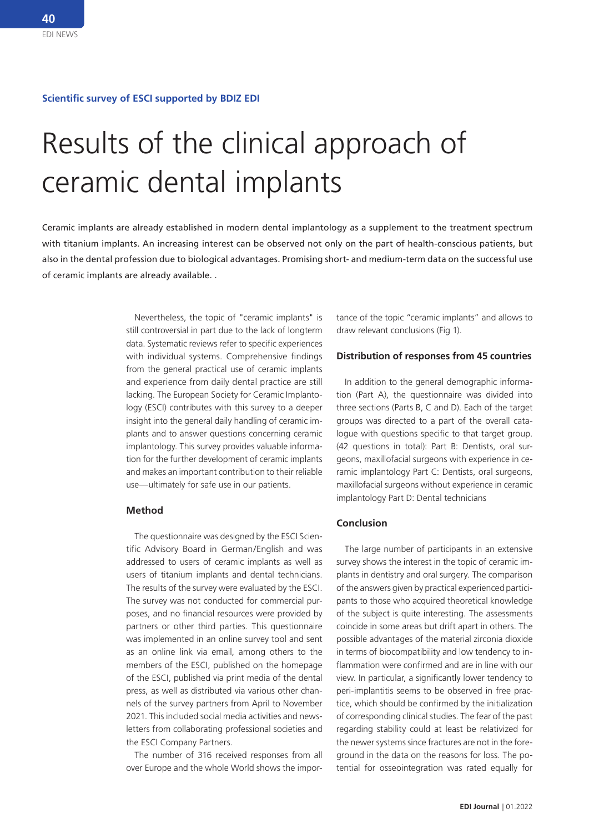#### **Scientific survey of ESCI supported by BDIZ EDI**

# Results of the clinical approach of ceramic dental implants

Ceramic implants are already established in modern dental implantology as a supplement to the treatment spectrum with titanium implants. An increasing interest can be observed not only on the part of health-conscious patients, but also in the dental profession due to biological advantages. Promising short- and medium-term data on the successful use of ceramic implants are already available. .

> Nevertheless, the topic of "ceramic implants" is still controversial in part due to the lack of longterm data. Systematic reviews refer to specific experiences with individual systems. Comprehensive findings from the general practical use of ceramic implants and experience from daily dental practice are still lacking. The European Society for Ceramic Implantology (ESCI) contributes with this survey to a deeper insight into the general daily handling of ceramic implants and to answer questions concerning ceramic implantology. This survey provides valuable information for the further development of ceramic implants and makes an important contribution to their reliable use—ultimately for safe use in our patients.

#### **Method**

The questionnaire was designed by the ESCI Scientific Advisory Board in German/English and was addressed to users of ceramic implants as well as users of titanium implants and dental technicians. The results of the survey were evaluated by the ESCI. The survey was not conducted for commercial purposes, and no financial resources were provided by partners or other third parties. This questionnaire was implemented in an online survey tool and sent as an online link via email, among others to the members of the ESCI, published on the homepage of the ESCI, published via print media of the dental press, as well as distributed via various other channels of the survey partners from April to November 2021. This included social media activities and newsletters from collaborating professional societies and the ESCI Company Partners.

The number of 316 received responses from all over Europe and the whole World shows the importance of the topic "ceramic implants" and allows to draw relevant conclusions (Fig 1).

### **Distribution of responses from 45 countries**

In addition to the general demographic information (Part A), the questionnaire was divided into three sections (Parts B, C and D). Each of the target groups was directed to a part of the overall catalogue with questions specific to that target group. (42 questions in total): Part B: Dentists, oral surgeons, maxillofacial surgeons with experience in ceramic implantology Part C: Dentists, oral surgeons, maxillofacial surgeons without experience in ceramic implantology Part D: Dental technicians

## **Conclusion**

The large number of participants in an extensive survey shows the interest in the topic of ceramic implants in dentistry and oral surgery. The comparison of the answers given by practical experienced participants to those who acquired theoretical knowledge of the subject is quite interesting. The assessments coincide in some areas but drift apart in others. The possible advantages of the material zirconia dioxide in terms of biocompatibility and low tendency to inflammation were confirmed and are in line with our view. In particular, a significantly lower tendency to peri-implantitis seems to be observed in free practice, which should be confirmed by the initialization of corresponding clinical studies. The fear of the past regarding stability could at least be relativized for the newer systems since fractures are not in the foreground in the data on the reasons for loss. The potential for osseointegration was rated equally for